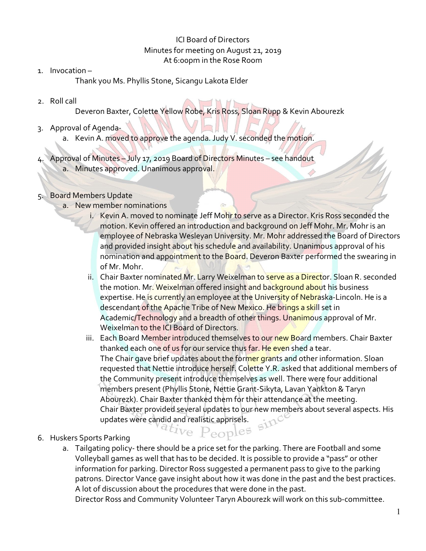### ICI Board of Directors Minutes for meeting on August 21, 2019 At 6:00pm in the Rose Room

1. Invocation –

Thank you Ms. Phyllis Stone, Sicangu Lakota Elder

2. Roll call

Deveron Baxter, Colette Yellow Robe, Kris Ross, Sloan Rupp & Kevin Abourezk

- 3. Approval of Agenda
	- a. Kevin A. moved to approve the agenda. Judy V. seconded the motion.
- 4. Approval of Minutes July 17, 2019 Board of Directors Minutes see handout a. Minutes approved. Unanimous approval.

## 5. Board Members Update

- a. New member nominations
	- i. Kevin A. moved to nominate Jeff Mohr to serve as a Director. Kris Ross seconded the motion. Kevin offered an introduction and background on Jeff Mohr. Mr. Mohr is an employee of Nebraska Wesleyan University. Mr. Mohr addressed the Board of Directors and provided insight about his schedule and availability. Unanimous approval of his nomination and appointment to the Board. Deveron Baxter performed the swearing in of Mr. Mohr.
	- ii. Chair Baxter nominated Mr. Larry Weixelman to serve as a Director. Sloan R. seconded the motion. Mr. Weixelman offered insight and background about his business expertise. He is currently an employee at the University of Nebraska-Lincoln. He is a descendant of the Apache Tribe of New Mexico. He brings a skill set in Academic/Technology and a breadth of other things. Unanimous approval of Mr. Weixelman to the ICI Board of Directors.
	- iii. Each Board Member introduced themselves to our new Board members. Chair Baxter thanked each one of us for our service thus far. He even shed a tear. The Chair gave brief updates about the former grants and other information. Sloan requested that Nettie introduce herself. Colette Y.R. asked that additional members of the Community present introduce themselves as well. There were four additional members present (Phyllis Stone, Nettie Grant-Sikyta, Lavan Yankton & Taryn Abourezk). Chair Baxter thanked them for their attendance at the meeting. Chair Baxter provided several updates to our new members about several aspects. His updates were candid and realistic apprisels. updates were candid and realistic apprisels.<br>
	Recorded to the Peoples
- 6. Huskers Sports Parking
	- a. Tailgating policy- there should be a price set for the parking. There are Football and some Volleyball games as well that has to be decided. It is possible to provide a "pass" or other information for parking. Director Ross suggested a permanent pass to give to the parking patrons. Director Vance gave insight about how it was done in the past and the best practices. A lot of discussion about the procedures that were done in the past.

Director Ross and Community Volunteer Taryn Abourezk will work on this sub-committee.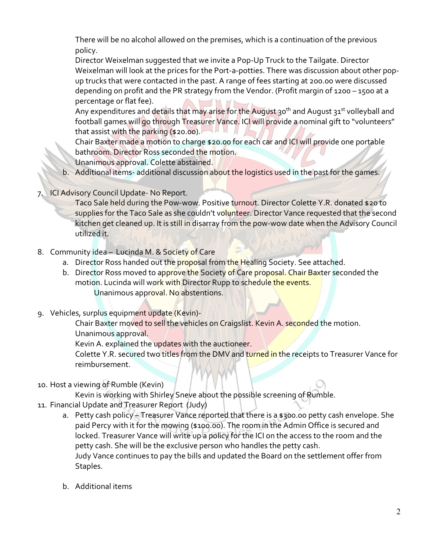There will be no alcohol allowed on the premises, which is a continuation of the previous policy.

Director Weixelman suggested that we invite a Pop-Up Truck to the Tailgate. Director Weixelman will look at the prices for the Port-a-potties. There was discussion about other popup trucks that were contacted in the past. A range of fees starting at 200.00 were discussed depending on profit and the PR strategy from the Vendor. (Profit margin of 1200 – 1500 at a percentage or flat fee).

Any expenditures and details that may arise for the August 30<sup>th</sup> and August 31<sup>st</sup> volleyball and football games will go through Treasurer Vance. ICI will provide a nominal gift to "volunteers" that assist with the parking (\$20.00).  $\left\lfloor H \right\rfloor$ 

Chair Baxter made a motion to charge \$20.00 for each car and ICI will provide one portable bathroom. Director Ross seconded the motion.

Unanimous approval. Colette abstained.

- b. Additional items- additional discussion about the logistics used in the past for the games.
- 7. ICI Advisory Council Update- No Report.

Taco Sale held during the Pow-wow. Positive turnout. Director Colette Y.R. donated \$20 to supplies for the Taco Sale as she couldn't volunteer. Director Vance requested that the second kitchen get cleaned up. It is still in disarray from the pow-wow date when the Advisory Council utilized it.

- 8. Community idea Lucinda M. & Society of Care
	- a. Director Ross handed out the proposal from the Healing Society. See attached.
	- b. Director Ross moved to approve the Society of Care proposal. Chair Baxter seconded the motion. Lucinda will work with Director Rupp to schedule the events. Unanimous approval. No abstentions.
- 9. Vehicles, surplus equipment update (Kevin)-

Chair Baxter moved to sell the vehicles on Craigslist. Kevin A. seconded the motion. Unanimous approval.

Kevin A. explained the updates with the auctioneer.

Colette Y.R. secured two titles from the DMV and turned in the receipts to Treasurer Vance for reimbursement.

10. Host a viewing of Rumble (Kevin)

Kevin is working with Shirley Sneve about the possible screening of Rumble.

- 11. Financial Update and Treasurer Report (Judy)
	- a. Petty cash policy Treasurer Vance reported that there is a \$300.00 petty cash envelope. She paid Percy with it for the mowing (\$100.00). The room in the Admin Office is secured and locked. Treasurer Vance will write up a policy for the ICI on the access to the room and the petty cash. She will be the exclusive person who handles the petty cash. Judy Vance continues to pay the bills and updated the Board on the settlement offer from Staples.
	- b. Additional items